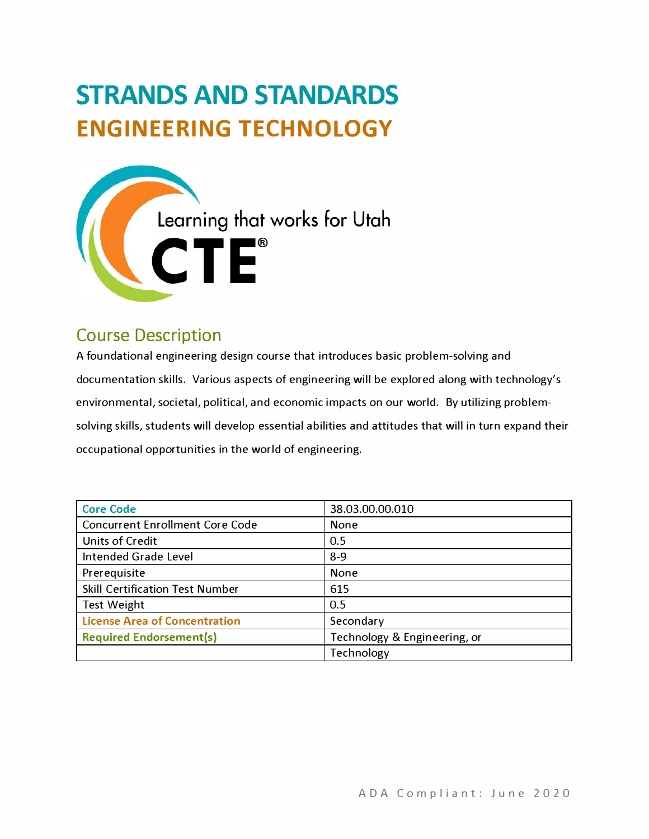# **STRANDS AND STANDARDS ENGINEERING TECHNOLOGY**



## Course Description

A foundational engineering design course that introduces basic problem-solving and documentation skills. Various aspects of engineering will be explored along with technology's environmental, societal, political, and economic impacts on our world. By utilizing problemsolving skills, students will develop essential abilities and attitudes that will in turn expand their occupational opportunities in the world of engineering.

| <b>Core Code</b>                       | 38.03.00.00.010              |  |  |  |
|----------------------------------------|------------------------------|--|--|--|
| <b>Concurrent Enrollment Core Code</b> | <b>None</b>                  |  |  |  |
| Units of Credit                        | 0.5                          |  |  |  |
| Intended Grade Level                   | $8-9$                        |  |  |  |
| Prerequisite                           | <b>None</b>                  |  |  |  |
| <b>Skill Certification Test Number</b> | 615                          |  |  |  |
| <b>Test Weight</b>                     | 0.5                          |  |  |  |
| <b>License Area of Concentration</b>   | Secondary                    |  |  |  |
| <b>Required Endorsement(s)</b>         | Technology & Engineering, or |  |  |  |
|                                        | Technology                   |  |  |  |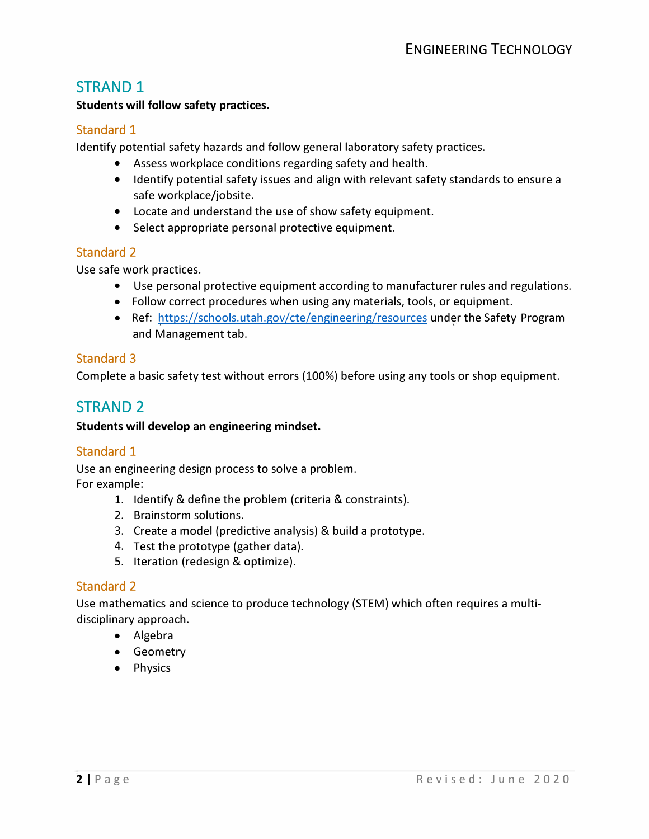## STRAND 1

#### **Students will follow safety practices.**

#### Standard 1

Identify potential safety hazards and follow general laboratory safety practices.

- Assess workplace conditions regarding safety and health.
- Identify potential safety issues and align with relevant safety standards to ensure a safe workplace/jobsite.
- Locate and understand the use of show safety equipment.
- Select appropriate personal protective equipment.

#### Standard 2

Use safe work practices.

- Use personal protective equipment according to manufacturer rules and regulations.
- Follow correct procedures when using any materials, tools, or equipment.
- Ref: <https://schools.utah.gov/cte/engineering/resources> under the Safety Program and Management tab.

#### Standard 3

Complete a basic safety test without errors (100%) before using any tools or shop equipment.

## STRAND 2

**Students will develop an engineering mindset.** 

#### Standard 1

Use an engineering design process to solve a problem. For example:

- 1. Identify & define the problem (criteria & constraints).
- 2. Brainstorm solutions.
- 3. Create a model (predictive analysis) & build a prototype.
- 4. Test the prototype (gather data).
- 5. Iteration (redesign & optimize).

#### Standard 2

Use mathematics and science to produce technology (STEM) which often requires a multidisciplinary approach.

- Algebra
- Geometry
- Physics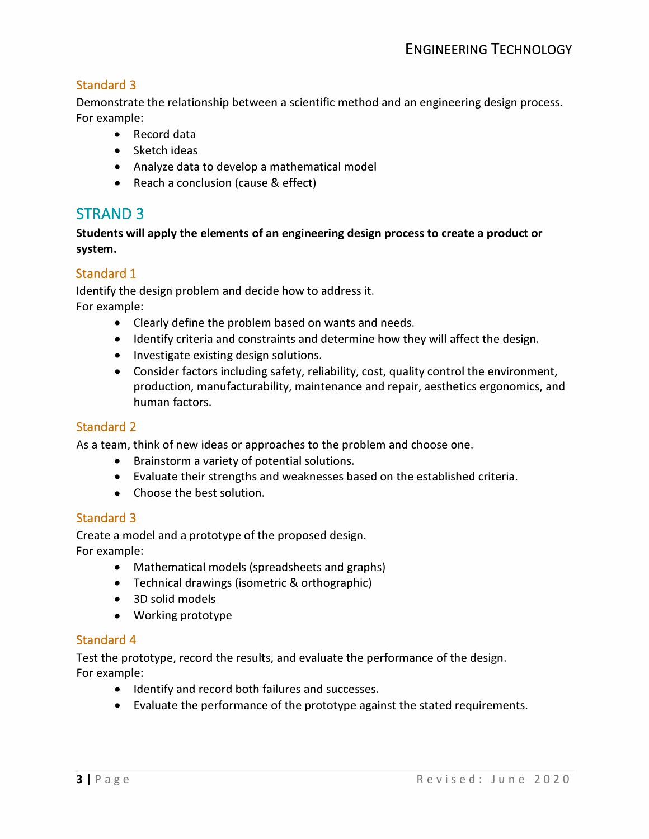### Standard 3

**Demonstrate the relationship between a scientific method and an engineering design process. For example:** 

- **Record data**
- **Sketch ideas**
- **Analyze data to develop a mathematical model**
- **Reach a conclusion (cause & effect)**

## **STRAND 3**

**Students will apply the elements of an engineering design process to create a product or system.** 

#### Standard 1

**Identify the design problem and decide how to address it. For example:** 

- **Clearly define the problem based on wants and needs.**
- **Identify criteria and constraints and determine how they will affect the design.**
- **Investigate existing design solutions.**
- **Consider factors including safety, reliability, cost, quality control the environment, production, manufacturability, maintenance and repair, aesthetics ergonomics, and human factors.**

#### Standard 2

**As a team, think of new ideas or approaches to the problem and choose one.** 

- **Brainstorm a variety of potential solutions.**
- **Evaluate their strengths and weaknesses based on the established criteria.**
- **Choose the best solution.**

#### Standard 3

**Create a model and a prototype of the proposed design. For example:** 

- **Mathematical models (spreadsheets and graphs)**
- **Technical drawings (isometric & orthographic)**
- **3D solid models**
- **Working prototype**

#### Standard 4

**Test the prototype, record the results, and evaluate the performance of the design. For example:** 

- **• Identify and record both failures and successes.**
- **Evaluate the performance of the prototype against the stated requirements.**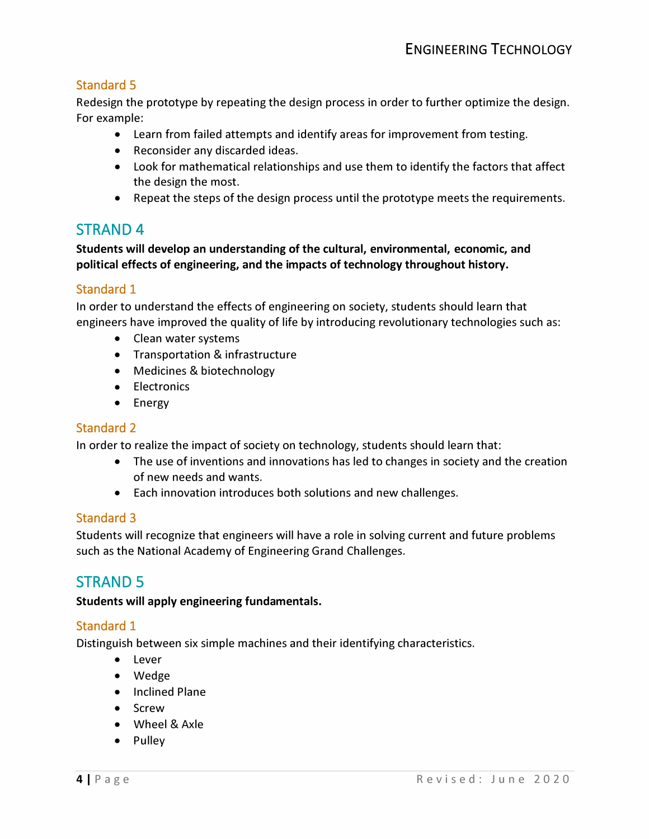### Standard 5

**Redesign the prototype by repeating the design process in order to further optimize the design. For example:** 

- **Learn from failed attempts and identify areas for improvement from testing.**
- **Reconsider any discarded ideas.**
- **Look for mathematical relationships and use them to identify the factors that affect the design the most.**
- **Repeat the steps of the design process until the prototype meets the requirements.**

## **STRAND 4**

**Students will develop an understanding of the cultural, environmental, economic, and political effects of engineering, and the impacts of technology throughout history.** 

#### Standard 1

**In order to understand the effects of engineering on society, students should learn that engineers have improved the quality of life by introducing revolutionary technologies such as:** 

- **Clean water systems**
- **Transportation & infrastructure**
- **Medicines & biotechnology**
- **Electronics**
- **Energy**

#### Standard 2

**In order to realize the impact of society on technology, students should learn that:** 

- **The use of inventions and innovations has led to changes in society and the creation of new needs and wants.**
- **Each innovation introduces both solutions and new challenges.**

#### Standard 3

**Students will recognize that engineers will have a role in solving current and future problems such as the National Academy of Engineering Grand Challenges.** 

## STRAND 5

#### **Students will apply engineering fundamentals.**

#### Standard 1

**Distinguish between six simple machines and their identifying characteristics.** 

- **Lever**
- **Wedge**
- **Inclined Plane**
- **Screw**
- **Wheel & Axle**
- **Pulley**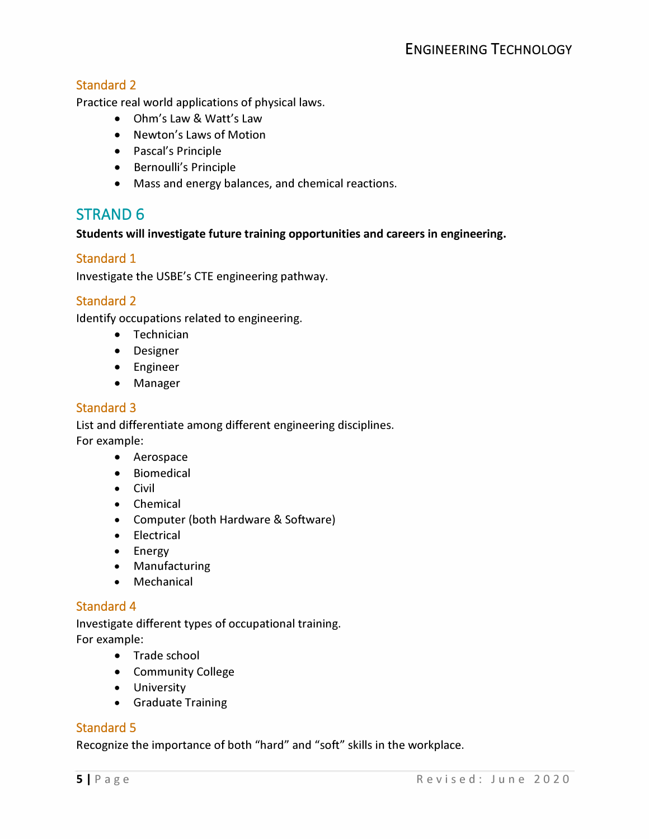#### Standard 2

**Practice real world applications of physical laws.** 

- **Ohm's Law & Watt's Law**
- **Newton's Laws of Motion**
- **Pascal's Principle**
- **Bernoulli's Principle**
- **• Mass and energy balances, and chemical reactions.**

## **STRAND 6**

**Students will investigate future training opportunities and careers in engineering.** 

#### Standard 1

**Investigate the USBE's CTE engineering pathway.** 

#### Standard 2

**Identify occupations related to engineering.** 

- **Technician**
- **Designer**
- **Engineer**
- **Manager**

#### Standard 3

**List and differentiate among different engineering disciplines. For example:** 

- **Aerospace**
- **Biomedical**
- **Civil**
- **Chemical**
- **Computer (both Hardware & Software)**
- **Electrical**
- **Energy**
- **Manufacturing**
- **Mechanical**

#### Standard 4

**Investigate different types of occupational training. For example:** 

- **Trade school**
- **Community College**
- **University**
- **Graduate Training**

#### Standard 5

**Recognize the importance of both "hard" and "soft" skills in the workplace.**